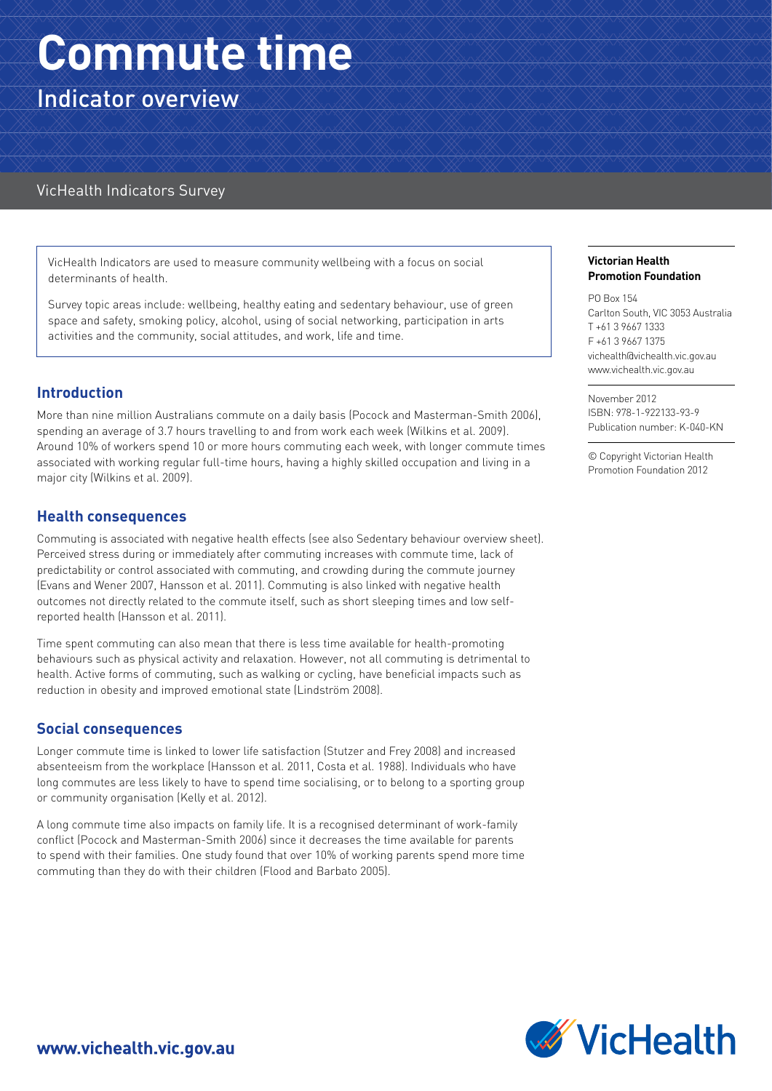# **Commute time**  Indicator overview

## VicHealth Indicators Survey

VicHealth Indicators are used to measure community wellbeing with a focus on social determinants of health.

Survey topic areas include: wellbeing, healthy eating and sedentary behaviour, use of green space and safety, smoking policy, alcohol, using of social networking, participation in arts activities and the community, social attitudes, and work, life and time.

### **Introduction**

More than nine million Australians commute on a daily basis (Pocock and Masterman-Smith 2006), spending an average of 3.7 hours travelling to and from work each week (Wilkins et al. 2009). Around 10% of workers spend 10 or more hours commuting each week, with longer commute times associated with working regular full-time hours, having a highly skilled occupation and living in a major city (Wilkins et al. 2009).

#### **Health consequences**

Commuting is associated with negative health effects (see also Sedentary behaviour overview sheet). Perceived stress during or immediately after commuting increases with commute time, lack of predictability or control associated with commuting, and crowding during the commute journey (Evans and Wener 2007, Hansson et al. 2011). Commuting is also linked with negative health outcomes not directly related to the commute itself, such as short sleeping times and low selfreported health (Hansson et al. 2011).

Time spent commuting can also mean that there is less time available for health-promoting behaviours such as physical activity and relaxation. However, not all commuting is detrimental to health. Active forms of commuting, such as walking or cycling, have beneficial impacts such as reduction in obesity and improved emotional state (Lindström 2008).

#### **Social consequences**

Longer commute time is linked to lower life satisfaction (Stutzer and Frey 2008) and increased absenteeism from the workplace (Hansson et al. 2011, Costa et al. 1988). Individuals who have long commutes are less likely to have to spend time socialising, or to belong to a sporting group or community organisation (Kelly et al. 2012).

A long commute time also impacts on family life. It is a recognised determinant of work-family conflict (Pocock and Masterman-Smith 2006) since it decreases the time available for parents to spend with their families. One study found that over 10% of working parents spend more time commuting than they do with their children (Flood and Barbato 2005).

#### **Victorian Health Promotion Foundation**

PO Box 154 Carlton South, VIC 3053 Australia T +61 3 9667 1333 F +61 3 9667 1375 vichealth@vichealth.vic.gov.au www.vichealth.vic.gov.au

November 2012 ISBN: 978-1-922133-93-9 Publication number: K-040-KN

© Copyright Victorian Health Promotion Foundation 2012